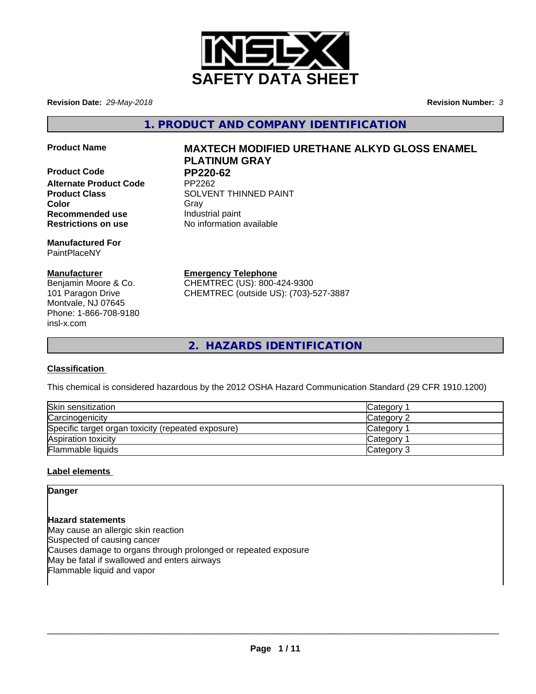

**Revision Date:** *29-May-2018* **Revision Number:** *3*

**1. PRODUCT AND COMPANY IDENTIFICATION**

- 
- **Product Code PP220-62 Alternate Product Code Recommended use Industrial paint Restrictions on use** No information available

**Manufactured For** PaintPlaceNY

#### **Manufacturer**

Benjamin Moore & Co. 101 Paragon Drive Montvale, NJ 07645 Phone: 1-866-708-9180 insl-x.com

# **Product Name MAXTECH MODIFIED URETHANE ALKYD GLOSS ENAMEL PLATINUM GRAY**

**Product Class SOLVENT THINNED PAINT Color** Gray Gray

**Emergency Telephone**

CHEMTREC (US): 800-424-9300 CHEMTREC (outside US): (703)-527-3887

**2. HAZARDS IDENTIFICATION**

# **Classification**

This chemical is considered hazardous by the 2012 OSHA Hazard Communication Standard (29 CFR 1910.1200)

| Skin sensitization                                 | Category        |
|----------------------------------------------------|-----------------|
| Carcinogenicity                                    | Category 2      |
| Specific target organ toxicity (repeated exposure) | <b>Category</b> |
| Aspiration toxicity                                | <b>Category</b> |
| Flammable liquids                                  | Category 3      |

# **Label elements**

**Danger**

**Hazard statements** May cause an allergic skin reaction Suspected of causing cancer Causes damage to organs through prolonged or repeated exposure May be fatal if swallowed and enters airways Flammable liquid and vapor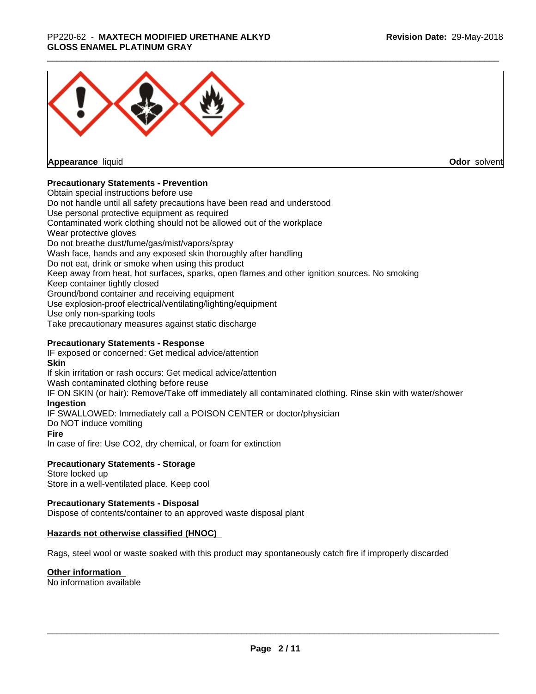#### \_\_\_\_\_\_\_\_\_\_\_\_\_\_\_\_\_\_\_\_\_\_\_\_\_\_\_\_\_\_\_\_\_\_\_\_\_\_\_\_\_\_\_\_\_\_\_\_\_\_\_\_\_\_\_\_\_\_\_\_\_\_\_\_\_\_\_\_\_\_\_\_\_\_\_\_\_\_\_\_\_\_\_\_\_\_\_\_\_\_\_\_\_ PP220-62 - **MAXTECH MODIFIED URETHANE ALKYD GLOSS ENAMEL PLATINUM GRAY**



**Appearance** liquid

**Odor** solvent

#### **Precautionary Statements - Prevention**

Obtain special instructions before use Do not handle until all safety precautions have been read and understood Use personal protective equipment as required Contaminated work clothing should not be allowed out of the workplace Wear protective gloves Do not breathe dust/fume/gas/mist/vapors/spray Wash face, hands and any exposed skin thoroughly after handling Do not eat, drink or smoke when using this product Keep away from heat, hot surfaces, sparks, open flames and other ignition sources. No smoking Keep container tightly closed Ground/bond container and receiving equipment Use explosion-proof electrical/ventilating/lighting/equipment Use only non-sparking tools Take precautionary measures against static discharge

#### **Precautionary Statements - Response**

IF exposed or concerned: Get medical advice/attention **Skin** If skin irritation or rash occurs: Get medical advice/attention Wash contaminated clothing before reuse IF ON SKIN (or hair): Remove/Take off immediately all contaminated clothing. Rinse skin with water/shower **Ingestion** IF SWALLOWED: Immediately call a POISON CENTER or doctor/physician Do NOT induce vomiting **Fire** In case of fire: Use CO2, dry chemical, or foam for extinction

#### **Precautionary Statements - Storage**

Store locked up Store in a well-ventilated place. Keep cool

#### **Precautionary Statements - Disposal**

Dispose of contents/container to an approved waste disposal plant

#### **Hazards not otherwise classified (HNOC)**

Rags, steel wool or waste soaked with this product may spontaneously catch fire if improperly discarded

#### **Other information**

No information available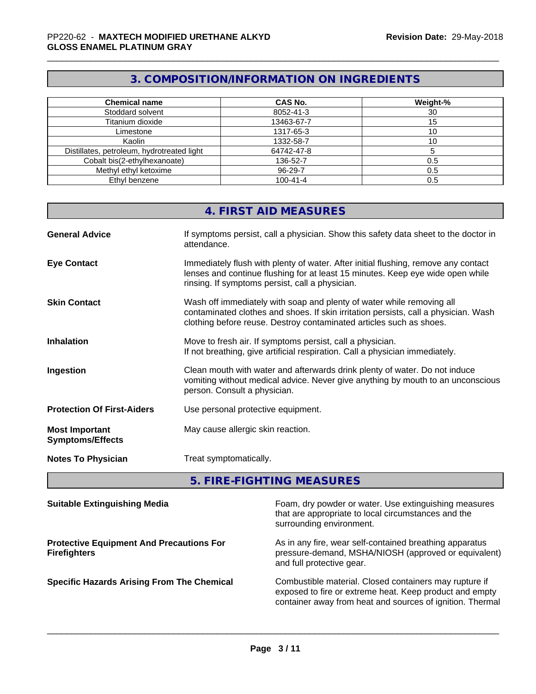# **3. COMPOSITION/INFORMATION ON INGREDIENTS**

| <b>Chemical name</b>                       | <b>CAS No.</b> | Weight-% |
|--------------------------------------------|----------------|----------|
| Stoddard solvent                           | 8052-41-3      | 30       |
| Titanium dioxide                           | 13463-67-7     |          |
| Limestone                                  | 1317-65-3      | ٠U       |
| Kaolin                                     | 1332-58-7      | ΊÜ       |
| Distillates, petroleum, hydrotreated light | 64742-47-8     |          |
| Cobalt bis(2-ethylhexanoate)               | 136-52-7       | 0.5      |
| Methyl ethyl ketoxime                      | 96-29-7        | 0.5      |
| Ethyl benzene                              | $100 - 41 - 4$ | 0.5      |

|                                                  | 4. FIRST AID MEASURES                                                                                                                                                                                                               |
|--------------------------------------------------|-------------------------------------------------------------------------------------------------------------------------------------------------------------------------------------------------------------------------------------|
| <b>General Advice</b>                            | If symptoms persist, call a physician. Show this safety data sheet to the doctor in<br>attendance.                                                                                                                                  |
| <b>Eye Contact</b>                               | Immediately flush with plenty of water. After initial flushing, remove any contact<br>lenses and continue flushing for at least 15 minutes. Keep eye wide open while<br>rinsing. If symptoms persist, call a physician.             |
| <b>Skin Contact</b>                              | Wash off immediately with soap and plenty of water while removing all<br>contaminated clothes and shoes. If skin irritation persists, call a physician. Wash<br>clothing before reuse. Destroy contaminated articles such as shoes. |
| <b>Inhalation</b>                                | Move to fresh air. If symptoms persist, call a physician.<br>If not breathing, give artificial respiration. Call a physician immediately.                                                                                           |
| <b>Ingestion</b>                                 | Clean mouth with water and afterwards drink plenty of water. Do not induce<br>vomiting without medical advice. Never give anything by mouth to an unconscious<br>person. Consult a physician.                                       |
| <b>Protection Of First-Aiders</b>                | Use personal protective equipment.                                                                                                                                                                                                  |
| <b>Most Important</b><br><b>Symptoms/Effects</b> | May cause allergic skin reaction.                                                                                                                                                                                                   |
| <b>Notes To Physician</b>                        | Treat symptomatically.                                                                                                                                                                                                              |
|                                                  |                                                                                                                                                                                                                                     |

**5. FIRE-FIGHTING MEASURES**

| <b>Suitable Extinguishing Media</b>                                    | Foam, dry powder or water. Use extinguishing measures<br>that are appropriate to local circumstances and the<br>surrounding environment.                                       |
|------------------------------------------------------------------------|--------------------------------------------------------------------------------------------------------------------------------------------------------------------------------|
| <b>Protective Equipment And Precautions For</b><br><b>Firefighters</b> | As in any fire, wear self-contained breathing apparatus<br>pressure-demand, MSHA/NIOSH (approved or equivalent)<br>and full protective gear.                                   |
| <b>Specific Hazards Arising From The Chemical</b>                      | Combustible material. Closed containers may rupture if<br>exposed to fire or extreme heat. Keep product and empty<br>container away from heat and sources of ignition. Thermal |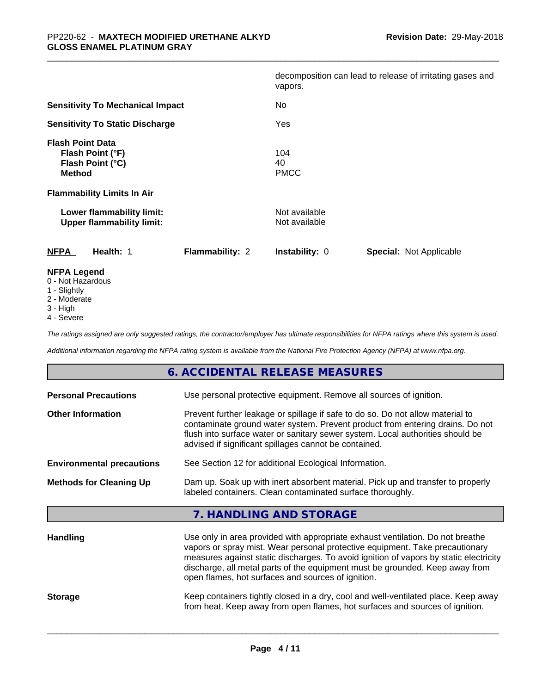|                                                                                  |                 | vapors.                        | decomposition can lead to release of irritating gases and |
|----------------------------------------------------------------------------------|-----------------|--------------------------------|-----------------------------------------------------------|
| <b>Sensitivity To Mechanical Impact</b>                                          |                 | No.                            |                                                           |
| <b>Sensitivity To Static Discharge</b>                                           |                 | Yes                            |                                                           |
| <b>Flash Point Data</b><br>Flash Point (°F)<br>Flash Point (°C)<br><b>Method</b> |                 | 104<br>40<br><b>PMCC</b>       |                                                           |
| <b>Flammability Limits In Air</b>                                                |                 |                                |                                                           |
| Lower flammability limit:<br><b>Upper flammability limit:</b>                    |                 | Not available<br>Not available |                                                           |
| <b>NFPA</b><br>Health: 1                                                         | Flammability: 2 | <b>Instability: 0</b>          | <b>Special: Not Applicable</b>                            |
| <b>NFPA Legend</b><br>0 - Not Hazardous                                          |                 |                                |                                                           |

- 
- 1 Slightly
- 2 Moderate
- 3 High
- 4 Severe

*The ratings assigned are only suggested ratings, the contractor/employer has ultimate responsibilities for NFPA ratings where this system is used.*

*Additional information regarding the NFPA rating system is available from the National Fire Protection Agency (NFPA) at www.nfpa.org.*

| 6. ACCIDENTAL RELEASE MEASURES                                                                                                                                                                                                                                                                                                                                                                                   |
|------------------------------------------------------------------------------------------------------------------------------------------------------------------------------------------------------------------------------------------------------------------------------------------------------------------------------------------------------------------------------------------------------------------|
| <b>Personal Precautions</b><br>Use personal protective equipment. Remove all sources of ignition.                                                                                                                                                                                                                                                                                                                |
| Prevent further leakage or spillage if safe to do so. Do not allow material to<br><b>Other Information</b><br>contaminate ground water system. Prevent product from entering drains. Do not<br>flush into surface water or sanitary sewer system. Local authorities should be<br>advised if significant spillages cannot be contained.                                                                           |
| See Section 12 for additional Ecological Information.<br><b>Environmental precautions</b>                                                                                                                                                                                                                                                                                                                        |
| Dam up. Soak up with inert absorbent material. Pick up and transfer to properly<br><b>Methods for Cleaning Up</b><br>labeled containers. Clean contaminated surface thoroughly.                                                                                                                                                                                                                                  |
| 7. HANDLING AND STORAGE                                                                                                                                                                                                                                                                                                                                                                                          |
| Use only in area provided with appropriate exhaust ventilation. Do not breathe<br><b>Handling</b><br>vapors or spray mist. Wear personal protective equipment. Take precautionary<br>measures against static discharges. To avoid ignition of vapors by static electricity<br>discharge, all metal parts of the equipment must be grounded. Keep away from<br>open flames, hot surfaces and sources of ignition. |
| Keep containers tightly closed in a dry, cool and well-ventilated place. Keep away<br><b>Storage</b><br>from heat. Keep away from open flames, hot surfaces and sources of ignition.                                                                                                                                                                                                                             |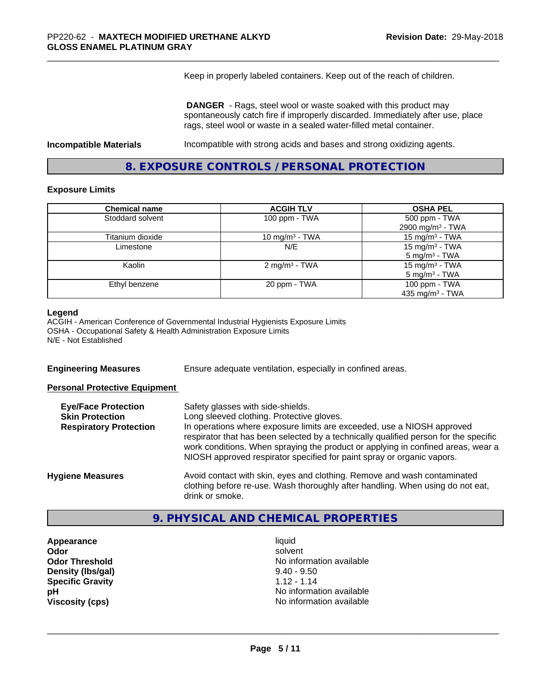Keep in properly labeled containers. Keep out of the reach of children.

 **DANGER** - Rags, steel wool or waste soaked with this product may spontaneously catch fire if improperly discarded. Immediately after use, place rags, steel wool or waste in a sealed water-filled metal container.

**Incompatible Materials Incompatible with strong acids and bases and strong oxidizing agents.** 

**8. EXPOSURE CONTROLS / PERSONAL PROTECTION**

#### **Exposure Limits**

| <b>Chemical name</b> | <b>ACGIH TLV</b>          | <b>OSHA PEL</b>              |
|----------------------|---------------------------|------------------------------|
| Stoddard solvent     | 100 ppm - TWA             | 500 ppm - TWA                |
|                      |                           | 2900 mg/m <sup>3</sup> - TWA |
| Titanium dioxide     | 10 mg/m $3$ - TWA         | $15 \text{ mg/m}^3$ - TWA    |
| Limestone            | N/E                       | 15 mg/m $3$ - TWA            |
|                      |                           | $5 \text{ mg/m}^3$ - TWA     |
| Kaolin               | 2 mg/m <sup>3</sup> - TWA | 15 mg/m $3$ - TWA            |
|                      |                           | $5 \text{ mg/m}^3$ - TWA     |
| Ethyl benzene        | 20 ppm - TWA              | 100 ppm - TWA                |
|                      |                           | 435 mg/m $3$ - TWA           |

#### **Legend**

ACGIH - American Conference of Governmental Industrial Hygienists Exposure Limits OSHA - Occupational Safety & Health Administration Exposure Limits N/E - Not Established

**Engineering Measures** Ensure adequate ventilation, especially in confined areas.

#### **Personal Protective Equipment**

| <b>Eye/Face Protection</b><br><b>Skin Protection</b><br><b>Respiratory Protection</b> | Safety glasses with side-shields.<br>Long sleeved clothing. Protective gloves.<br>In operations where exposure limits are exceeded, use a NIOSH approved<br>respirator that has been selected by a technically qualified person for the specific<br>work conditions. When spraying the product or applying in confined areas, wear a<br>NIOSH approved respirator specified for paint spray or organic vapors. |
|---------------------------------------------------------------------------------------|----------------------------------------------------------------------------------------------------------------------------------------------------------------------------------------------------------------------------------------------------------------------------------------------------------------------------------------------------------------------------------------------------------------|
| <b>Hygiene Measures</b>                                                               | Avoid contact with skin, eyes and clothing. Remove and wash contaminated<br>clothing before re-use. Wash thoroughly after handling. When using do not eat,<br>drink or smoke.                                                                                                                                                                                                                                  |

# **9. PHYSICAL AND CHEMICAL PROPERTIES**

**Appearance** liquid **Density (lbs/gal)** 9.40 - 9.50 **Specific Gravity** 1.12 - 1.14

**Odor** solvent **Odor Threshold No information available** No information available **pH** No information available **Viscosity (cps)** No information available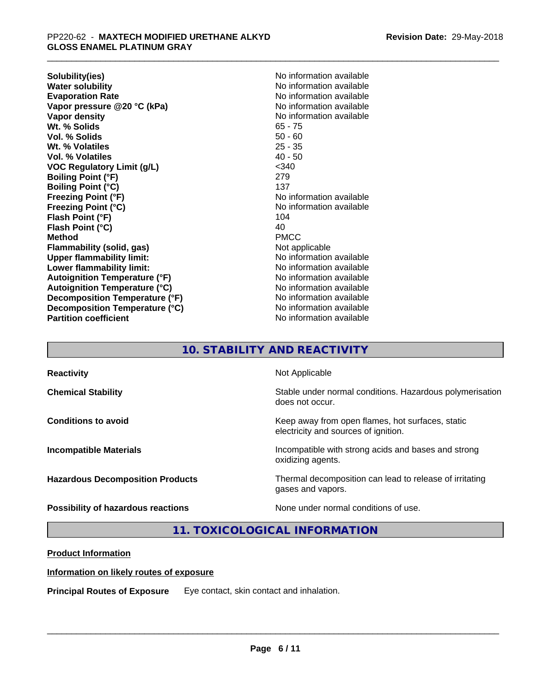**Solubility(ies)** No information available **Water solubility**<br> **Evaporation Rate**<br> **Evaporation Rate**<br> **Evaporation Rate Vapor pressure @20 °C (kPa)** No information available<br> **Vapor density** No information available **Wt. % Solids** 65 - 75 **Vol. % Solids** 50 - 60 **Wt. % Volatiles** 25 - 35 **Vol. % Volatiles VOC Regulatory Limit (g/L)** <340 **Boiling Point (°F)** 279 **Boiling Point (°C)** 137 **Freezing Point (°F)**<br> **Freezing Point (°C)**<br> **Freezing Point (°C)**<br> **No information available Flash Point (°F)** 104 **Flash Point (°C)** 40<br> **Method** PMCC **Method** PMCC **Flammability (solid, gas)** Not applicable **Upper flammability limit:** No information available **Lower flammability limit:** No information available **Autoignition Temperature (°F)** No information available **Autoignition Temperature (°C)** No information available **Decomposition Temperature (°F)** No information available **Decomposition Temperature (°C)** No information available **Partition coefficient Contract Contract Contract Contract Contract Contract Contract Contract Contract Contract Contract Contract Contract Contract Contract Contract Contract Contract Contract Contract Contract Contract** 

**Evaporation Rate** No information available **No information available Freezing Point (°C)** No information available

# **10. STABILITY AND REACTIVITY**

| <b>Reactivity</b>                       | Not Applicable                                                                           |
|-----------------------------------------|------------------------------------------------------------------------------------------|
| <b>Chemical Stability</b>               | Stable under normal conditions. Hazardous polymerisation<br>does not occur.              |
| <b>Conditions to avoid</b>              | Keep away from open flames, hot surfaces, static<br>electricity and sources of ignition. |
| <b>Incompatible Materials</b>           | Incompatible with strong acids and bases and strong<br>oxidizing agents.                 |
| <b>Hazardous Decomposition Products</b> | Thermal decomposition can lead to release of irritating<br>gases and vapors.             |
| Possibility of hazardous reactions      | None under normal conditions of use.                                                     |

# **11. TOXICOLOGICAL INFORMATION**

#### **Product Information**

#### **Information on likely routes of exposure**

**Principal Routes of Exposure** Eye contact, skin contact and inhalation.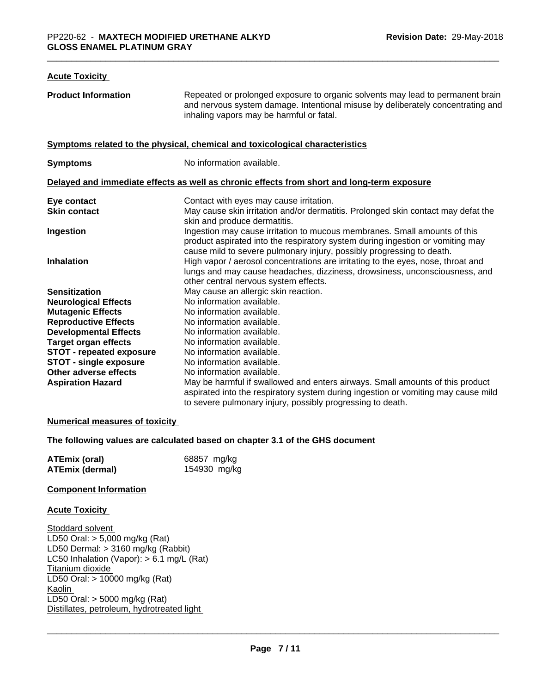| <b>Acute Toxicity</b>           |                                                                                                                                                                                                                                      |
|---------------------------------|--------------------------------------------------------------------------------------------------------------------------------------------------------------------------------------------------------------------------------------|
| <b>Product Information</b>      | Repeated or prolonged exposure to organic solvents may lead to permanent brain<br>and nervous system damage. Intentional misuse by deliberately concentrating and<br>inhaling vapors may be harmful or fatal.                        |
|                                 | Symptoms related to the physical, chemical and toxicological characteristics                                                                                                                                                         |
| <b>Symptoms</b>                 | No information available.                                                                                                                                                                                                            |
|                                 | Delayed and immediate effects as well as chronic effects from short and long-term exposure                                                                                                                                           |
| Eye contact                     | Contact with eyes may cause irritation.                                                                                                                                                                                              |
| <b>Skin contact</b>             | May cause skin irritation and/or dermatitis. Prolonged skin contact may defat the<br>skin and produce dermatitis.                                                                                                                    |
| Ingestion                       | Ingestion may cause irritation to mucous membranes. Small amounts of this<br>product aspirated into the respiratory system during ingestion or vomiting may<br>cause mild to severe pulmonary injury, possibly progressing to death. |
| <b>Inhalation</b>               | High vapor / aerosol concentrations are irritating to the eyes, nose, throat and<br>lungs and may cause headaches, dizziness, drowsiness, unconsciousness, and<br>other central nervous system effects.                              |
| <b>Sensitization</b>            | May cause an allergic skin reaction.                                                                                                                                                                                                 |
| <b>Neurological Effects</b>     | No information available.                                                                                                                                                                                                            |
| <b>Mutagenic Effects</b>        | No information available.                                                                                                                                                                                                            |
| <b>Reproductive Effects</b>     | No information available.                                                                                                                                                                                                            |
| <b>Developmental Effects</b>    | No information available.                                                                                                                                                                                                            |
| <b>Target organ effects</b>     | No information available.                                                                                                                                                                                                            |
| <b>STOT - repeated exposure</b> | No information available.                                                                                                                                                                                                            |
| <b>STOT - single exposure</b>   | No information available.                                                                                                                                                                                                            |
| <b>Other adverse effects</b>    | No information available.                                                                                                                                                                                                            |
| <b>Aspiration Hazard</b>        | May be harmful if swallowed and enters airways. Small amounts of this product<br>aspirated into the respiratory system during ingestion or vomiting may cause mild<br>to severe pulmonary injury, possibly progressing to death.     |

#### **Numerical measures of toxicity**

#### **The following values are calculated based on chapter 3.1 of the GHS document**

| <b>ATEmix (oral)</b>   | 68857 mg/kg  |
|------------------------|--------------|
| <b>ATEmix (dermal)</b> | 154930 mg/kg |

#### **Component Information**

#### **Acute Toxicity**

Stoddard solvent LD50 Oral: > 5,000 mg/kg (Rat) LD50 Dermal:  $> 3160$  mg/kg (Rabbit) LC50 Inhalation (Vapor): > 6.1 mg/L (Rat) Titanium dioxide LD50 Oral: > 10000 mg/kg (Rat) Kaolin LD50 Oral: > 5000 mg/kg (Rat) Distillates, petroleum, hydrotreated light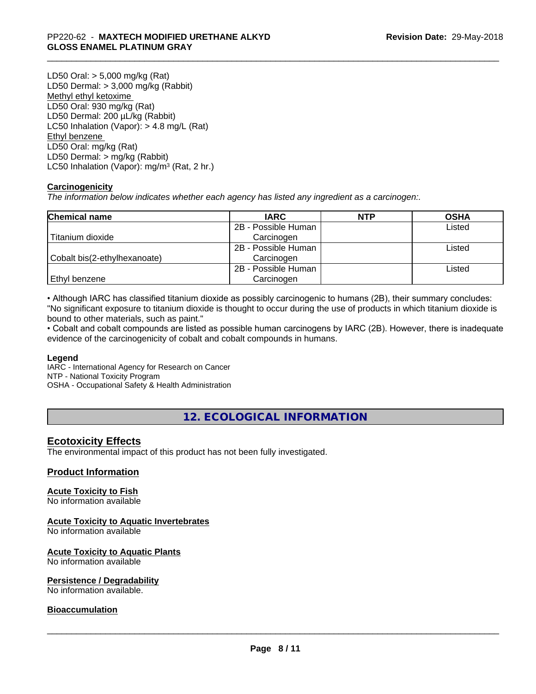LD50 Oral: > 5,000 mg/kg (Rat) LD50 Dermal: > 3,000 mg/kg (Rabbit) Methyl ethyl ketoxime LD50 Oral: 930 mg/kg (Rat) LD50 Dermal: 200 µL/kg (Rabbit) LC50 Inhalation (Vapor): > 4.8 mg/L (Rat) Ethyl benzene LD50 Oral: mg/kg (Rat) LD50 Dermal: > mg/kg (Rabbit) LC50 Inhalation (Vapor): mg/m<sup>3</sup> (Rat, 2 hr.)

#### **Carcinogenicity**

*The information below indicateswhether each agency has listed any ingredient as a carcinogen:.*

| <b>Chemical name</b>         | <b>IARC</b>         | <b>NTP</b> | <b>OSHA</b> |
|------------------------------|---------------------|------------|-------------|
|                              | 2B - Possible Human |            | Listed      |
| Titanium dioxide             | Carcinogen          |            |             |
|                              | 2B - Possible Human |            | Listed      |
| Cobalt bis(2-ethylhexanoate) | Carcinogen          |            |             |
|                              | 2B - Possible Human |            | Listed      |
| Ethyl benzene                | Carcinogen          |            |             |

• Although IARC has classified titanium dioxide as possibly carcinogenic to humans (2B), their summary concludes: "No significant exposure to titanium dioxide is thought to occur during the use of products in which titanium dioxide is bound to other materials, such as paint."

• Cobalt and cobalt compounds are listed as possible human carcinogens by IARC (2B). However, there is inadequate evidence of the carcinogenicity of cobalt and cobalt compounds in humans.

#### **Legend**

IARC - International Agency for Research on Cancer NTP - National Toxicity Program OSHA - Occupational Safety & Health Administration

**12. ECOLOGICAL INFORMATION**

#### **Ecotoxicity Effects**

The environmental impact of this product has not been fully investigated.

#### **Product Information**

### **Acute Toxicity to Fish**

No information available

#### **Acute Toxicity to Aquatic Invertebrates**

No information available

#### **Acute Toxicity to Aquatic Plants**

No information available

#### **Persistence / Degradability**

No information available.

#### **Bioaccumulation**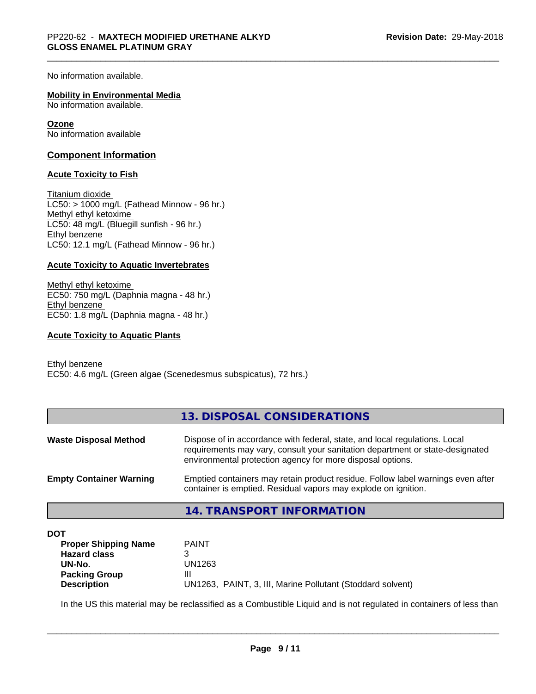No information available.

#### **Mobility in Environmental Media**

No information available.

#### **Ozone**

No information available

#### **Component Information**

#### **Acute Toxicity to Fish**

Titanium dioxide  $LCS0: > 1000$  mg/L (Fathead Minnow - 96 hr.) Methyl ethyl ketoxime LC50: 48 mg/L (Bluegill sunfish - 96 hr.) Ethyl benzene LC50: 12.1 mg/L (Fathead Minnow - 96 hr.)

#### **Acute Toxicity to Aquatic Invertebrates**

Methyl ethyl ketoxime EC50: 750 mg/L (Daphnia magna - 48 hr.) Ethyl benzene EC50: 1.8 mg/L (Daphnia magna - 48 hr.)

#### **Acute Toxicity to Aquatic Plants**

Ethyl benzene EC50: 4.6 mg/L (Green algae (Scenedesmus subspicatus), 72 hrs.)

|                                | 13. DISPOSAL CONSIDERATIONS                                                                                                                                                                                               |
|--------------------------------|---------------------------------------------------------------------------------------------------------------------------------------------------------------------------------------------------------------------------|
| <b>Waste Disposal Method</b>   | Dispose of in accordance with federal, state, and local regulations. Local<br>requirements may vary, consult your sanitation department or state-designated<br>environmental protection agency for more disposal options. |
| <b>Empty Container Warning</b> | Emptied containers may retain product residue. Follow label warnings even after<br>container is emptied. Residual vapors may explode on ignition.                                                                         |
|                                | <b>14. TRANSPORT INFORMATION</b>                                                                                                                                                                                          |

#### **DOT**

| <b>Proper Shipping Name</b> | <b>PAINT</b>                                               |
|-----------------------------|------------------------------------------------------------|
| <b>Hazard class</b>         |                                                            |
| UN-No.                      | UN1263                                                     |
| <b>Packing Group</b>        | Ш                                                          |
| <b>Description</b>          | UN1263, PAINT, 3, III, Marine Pollutant (Stoddard solvent) |
|                             |                                                            |

In the US this material may be reclassified as a Combustible Liquid and is not regulated in containers of less than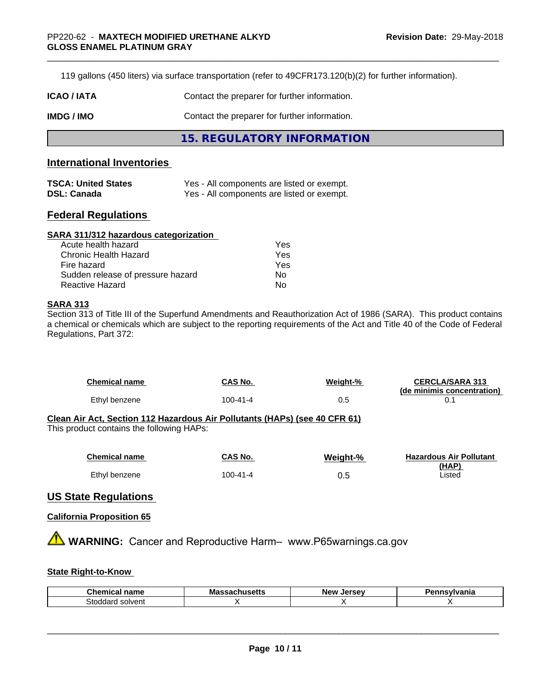119 gallons (450 liters) via surface transportation (refer to 49CFR173.120(b)(2) for further information).

| <b>ICAO/IATA</b> | Contact the preparer for further information. |
|------------------|-----------------------------------------------|
| IMDG / IMO       | Contact the preparer for further information. |
|                  | 15. REGULATORY INFORMATION                    |

### **International Inventories**

| <b>TSCA: United States</b> | Yes - All components are listed or exempt. |
|----------------------------|--------------------------------------------|
| <b>DSL: Canada</b>         | Yes - All components are listed or exempt. |

#### **Federal Regulations**

| SARA 311/312 hazardous categorization |     |  |
|---------------------------------------|-----|--|
| Acute health hazard                   | Yes |  |
| Chronic Health Hazard                 | Yes |  |
| Fire hazard                           | Yes |  |
| Sudden release of pressure hazard     | No. |  |
| <b>Reactive Hazard</b>                | No  |  |

#### **SARA 313**

Section 313 of Title III of the Superfund Amendments and Reauthorization Act of 1986 (SARA). This product contains a chemical or chemicals which are subject to the reporting requirements of the Act and Title 40 of the Code of Federal Regulations, Part 372:

| <b>Chemical name</b>                                                                                                    | CAS No.        | Weight-% | <b>CERCLA/SARA 313</b><br>(de minimis concentration) |  |  |
|-------------------------------------------------------------------------------------------------------------------------|----------------|----------|------------------------------------------------------|--|--|
| Ethyl benzene                                                                                                           | $100 - 41 - 4$ | 0.5      | 0.1                                                  |  |  |
| Clean Air Act, Section 112 Hazardous Air Pollutants (HAPs) (see 40 CFR 61)<br>This product contains the following HAPs: |                |          |                                                      |  |  |
|                                                                                                                         |                |          |                                                      |  |  |
| <b>Chemical name</b>                                                                                                    | CAS No.        | Weight-% | <b>Hazardous Air Pollutant</b><br>(HAP)              |  |  |
| Ethyl benzene                                                                                                           | $100 - 41 - 4$ | 0.5      | Listed                                               |  |  |

#### **US State Regulations**

#### **California Proposition 65**

**A WARNING:** Cancer and Reproductive Harm– www.P65warnings.ca.gov

#### **State Right-to-Know**

| Chemical<br>$    -$<br>name    | ----<br>Mas | Jersev<br><b>New</b><br>- Ju | .<br>anıa |
|--------------------------------|-------------|------------------------------|-----------|
| solvent<br>stodc<br>าลณ<br>. . |             |                              |           |